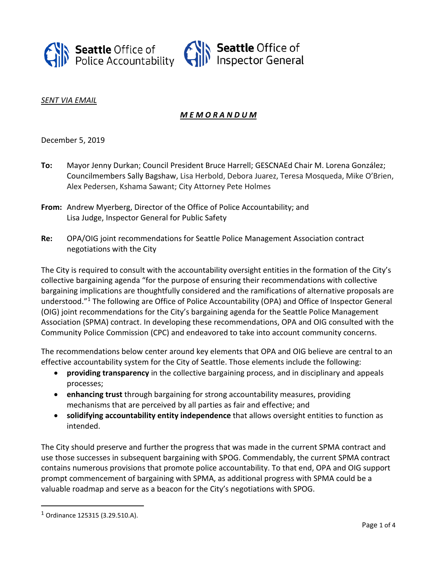

### *SENT VIA EMAIL*

# *M E M O R A N D U M*

December 5, 2019

- **To:** Mayor Jenny Durkan; Council President Bruce Harrell; GESCNAEd Chair M. Lorena González; Councilmembers Sally Bagshaw, Lisa Herbold, Debora Juarez, Teresa Mosqueda, Mike O'Brien, Alex Pedersen, Kshama Sawant; City Attorney Pete Holmes
- **From:** Andrew Myerberg, Director of the Office of Police Accountability; and Lisa Judge, Inspector General for Public Safety
- **Re:** OPA/OIG joint recommendations for Seattle Police Management Association contract negotiations with the City

The City is required to consult with the accountability oversight entities in the formation of the City's collective bargaining agenda "for the purpose of ensuring their recommendations with collective bargaining implications are thoughtfully considered and the ramifications of alternative proposals are understood."[1](#page-0-0) The following are Office of Police Accountability (OPA) and Office of Inspector General (OIG) joint recommendations for the City's bargaining agenda for the Seattle Police Management Association (SPMA) contract. In developing these recommendations, OPA and OIG consulted with the Community Police Commission (CPC) and endeavored to take into account community concerns.

The recommendations below center around key elements that OPA and OIG believe are central to an effective accountability system for the City of Seattle. Those elements include the following:

- **providing transparency** in the collective bargaining process, and in disciplinary and appeals processes;
- **enhancing trust** through bargaining for strong accountability measures, providing mechanisms that are perceived by all parties as fair and effective; and
- **solidifying accountability entity independence** that allows oversight entities to function as intended.

The City should preserve and further the progress that was made in the current SPMA contract and use those successes in subsequent bargaining with SPOG. Commendably, the current SPMA contract contains numerous provisions that promote police accountability. To that end, OPA and OIG support prompt commencement of bargaining with SPMA, as additional progress with SPMA could be a valuable roadmap and serve as a beacon for the City's negotiations with SPOG.

<span id="page-0-0"></span><sup>1</sup> Ordinance 125315 (3.29.510.A).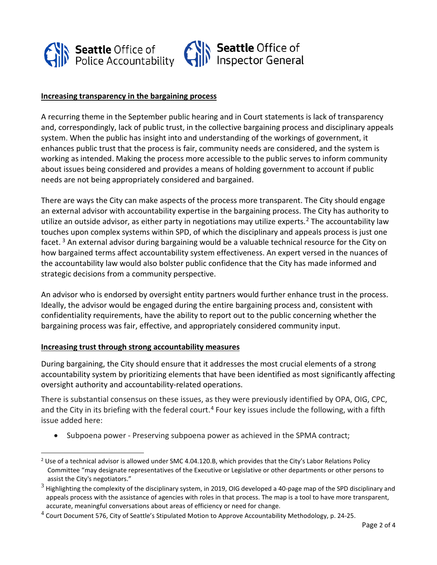

## **Increasing transparency in the bargaining process**

A recurring theme in the September public hearing and in Court statements is lack of transparency and, correspondingly, lack of public trust, in the collective bargaining process and disciplinary appeals system. When the public has insight into and understanding of the workings of government, it enhances public trust that the process is fair, community needs are considered, and the system is working as intended. Making the process more accessible to the public serves to inform community about issues being considered and provides a means of holding government to account if public needs are not being appropriately considered and bargained.

There are ways the City can make aspects of the process more transparent. The City should engage an external advisor with accountability expertise in the bargaining process. The City has authority to utilize an outside advisor, as either party in negotiations may utilize experts.<sup>[2](#page-1-0)</sup> The accountability law touches upon complex systems within SPD, of which the disciplinary and appeals process is just one facet.<sup>[3](#page-1-1)</sup> An external advisor during bargaining would be a valuable technical resource for the City on how bargained terms affect accountability system effectiveness. An expert versed in the nuances of the accountability law would also bolster public confidence that the City has made informed and strategic decisions from a community perspective.

An advisor who is endorsed by oversight entity partners would further enhance trust in the process. Ideally, the advisor would be engaged during the entire bargaining process and, consistent with confidentiality requirements, have the ability to report out to the public concerning whether the bargaining process was fair, effective, and appropriately considered community input.

#### **Increasing trust through strong accountability measures**

During bargaining, the City should ensure that it addresses the most crucial elements of a strong accountability system by prioritizing elements that have been identified as most significantly affecting oversight authority and accountability-related operations.

There is substantial consensus on these issues, as they were previously identified by OPA, OIG, CPC, and the City in its briefing with the federal court.<sup>[4](#page-1-2)</sup> Four key issues include the following, with a fifth issue added here:

• Subpoena power - Preserving subpoena power as achieved in the SPMA contract;

<span id="page-1-0"></span><sup>&</sup>lt;sup>2</sup> Use of a technical advisor is allowed under SMC 4.04.120.B, which provides that the City's Labor Relations Policy Committee "may designate representatives of the Executive or Legislative or other departments or other persons to assist the City's negotiators."

<span id="page-1-1"></span> $3$  Highlighting the complexity of the disciplinary system, in 2019, OIG developed a 40-page map of the SPD disciplinary and appeals process with the assistance of agencies with roles in that process. The map is a tool to have more transparent, accurate, meaningful conversations about areas of efficiency or need for change.

<span id="page-1-2"></span> $4$  Court Document 576, City of Seattle's Stipulated Motion to Approve Accountability Methodology, p. 24-25.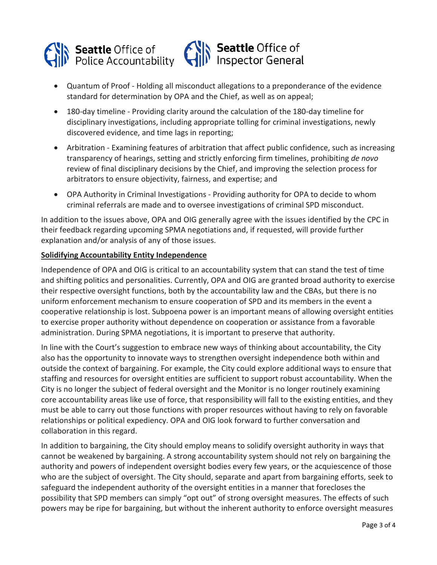

- Quantum of Proof Holding all misconduct allegations to a preponderance of the evidence standard for determination by OPA and the Chief, as well as on appeal;
- 180-day timeline Providing clarity around the calculation of the 180-day timeline for disciplinary investigations, including appropriate tolling for criminal investigations, newly discovered evidence, and time lags in reporting;
- Arbitration Examining features of arbitration that affect public confidence, such as increasing transparency of hearings, setting and strictly enforcing firm timelines, prohibiting *de novo* review of final disciplinary decisions by the Chief, and improving the selection process for arbitrators to ensure objectivity, fairness, and expertise; and
- OPA Authority in Criminal Investigations Providing authority for OPA to decide to whom criminal referrals are made and to oversee investigations of criminal SPD misconduct.

In addition to the issues above, OPA and OIG generally agree with the issues identified by the CPC in their feedback regarding upcoming SPMA negotiations and, if requested, will provide further explanation and/or analysis of any of those issues.

## **Solidifying Accountability Entity Independence**

Independence of OPA and OIG is critical to an accountability system that can stand the test of time and shifting politics and personalities. Currently, OPA and OIG are granted broad authority to exercise their respective oversight functions, both by the accountability law and the CBAs, but there is no uniform enforcement mechanism to ensure cooperation of SPD and its members in the event a cooperative relationship is lost. Subpoena power is an important means of allowing oversight entities to exercise proper authority without dependence on cooperation or assistance from a favorable administration. During SPMA negotiations, it is important to preserve that authority.

In line with the Court's suggestion to embrace new ways of thinking about accountability, the City also has the opportunity to innovate ways to strengthen oversight independence both within and outside the context of bargaining. For example, the City could explore additional ways to ensure that staffing and resources for oversight entities are sufficient to support robust accountability. When the City is no longer the subject of federal oversight and the Monitor is no longer routinely examining core accountability areas like use of force, that responsibility will fall to the existing entities, and they must be able to carry out those functions with proper resources without having to rely on favorable relationships or political expediency. OPA and OIG look forward to further conversation and collaboration in this regard.

In addition to bargaining, the City should employ means to solidify oversight authority in ways that cannot be weakened by bargaining. A strong accountability system should not rely on bargaining the authority and powers of independent oversight bodies every few years, or the acquiescence of those who are the subject of oversight. The City should, separate and apart from bargaining efforts, seek to safeguard the independent authority of the oversight entities in a manner that forecloses the possibility that SPD members can simply "opt out" of strong oversight measures. The effects of such powers may be ripe for bargaining, but without the inherent authority to enforce oversight measures